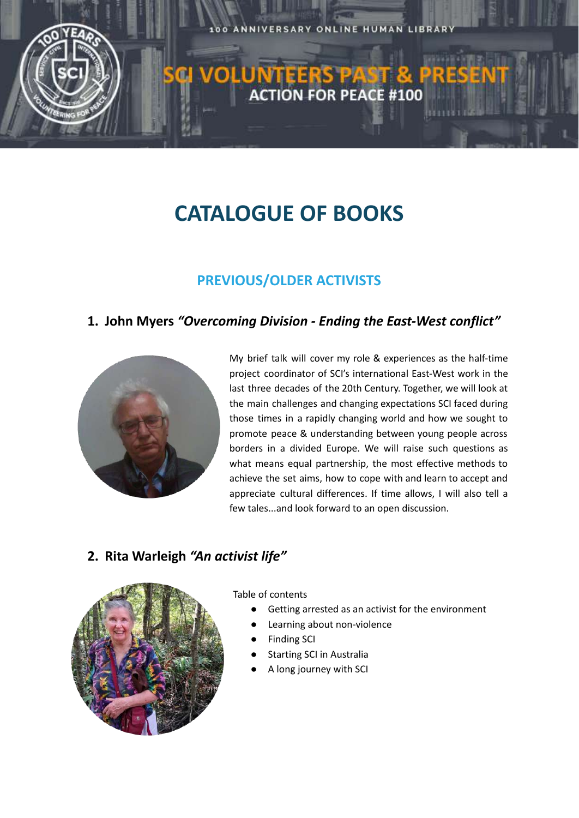

# **CATALOGUE OF BOOKS**

## **PREVIOUS/OLDER ACTIVISTS**

#### **1. John Myers** *"Overcoming Division - Ending the East-West conflict"*



My brief talk will cover my role & experiences as the half-time project coordinator of SCI's international East-West work in the last three decades of the 20th Century. Together, we will look at the main challenges and changing expectations SCI faced during those times in a rapidly changing world and how we sought to promote peace & understanding between young people across borders in a divided Europe. We will raise such questions as what means equal partnership, the most effective methods to achieve the set aims, how to cope with and learn to accept and appreciate cultural differences. If time allows, I will also tell a few tales...and look forward to an open discussion.

#### **2. Rita Warleigh** *"An activist life"*



Table of contents

- Getting arrested as an activist for the environment
- Learning about non-violence
- **Finding SCI**
- **Starting SCI in Australia**
- A long journey with SCI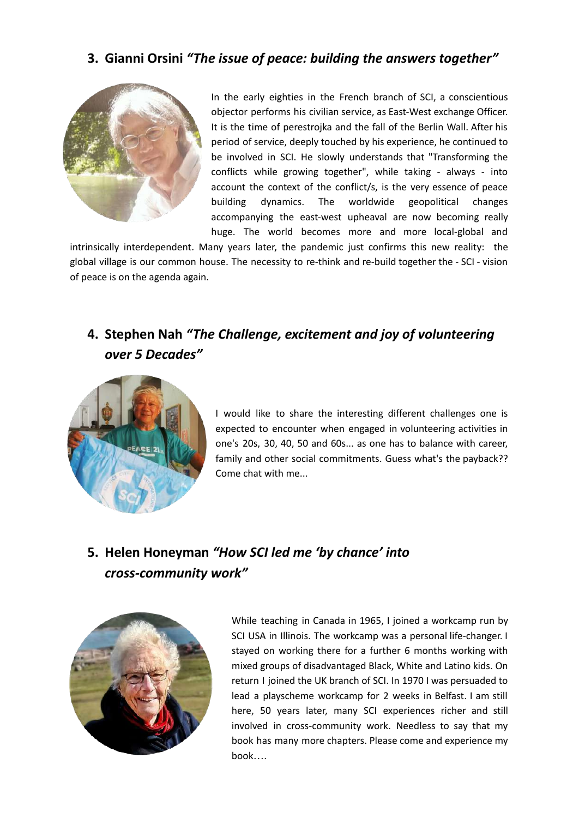#### **3. Gianni Orsini** *"The issue of peace: building the answers together"*



In the early eighties in the French branch of SCI, a conscientious objector performs his civilian service, as East-West exchange Officer. It is the time of perestrojka and the fall of the Berlin Wall. After his period of service, deeply touched by his experience, he continued to be involved in SCI. He slowly understands that "Transforming the conflicts while growing together", while taking - always - into account the context of the conflict/s, is the very essence of peace building dynamics. The worldwide geopolitical changes accompanying the east-west upheaval are now becoming really huge. The world becomes more and more local-global and

intrinsically interdependent. Many years later, the pandemic just confirms this new reality: the global village is our common house. The necessity to re-think and re-build together the - SCI - vision of peace is on the agenda again.

## **4. Stephen Nah** *"The Challenge, excitement and joy of volunteering over 5 Decades"*



I would like to share the interesting different challenges one is expected to encounter when engaged in volunteering activities in one's 20s, 30, 40, 50 and 60s... as one has to balance with career, family and other social commitments. Guess what's the payback?? Come chat with me...

## **5. Helen Honeyman** *"How SCI led me 'by chance' into cross-community work"*



While teaching in Canada in 1965, I joined a workcamp run by SCI USA in Illinois. The workcamp was a personal life-changer. I stayed on working there for a further 6 months working with mixed groups of disadvantaged Black, White and Latino kids. On return I joined the UK branch of SCI. In 1970 I was persuaded to lead a playscheme workcamp for 2 weeks in Belfast. I am still here, 50 years later, many SCI experiences richer and still involved in cross-community work. Needless to say that my book has many more chapters. Please come and experience my book….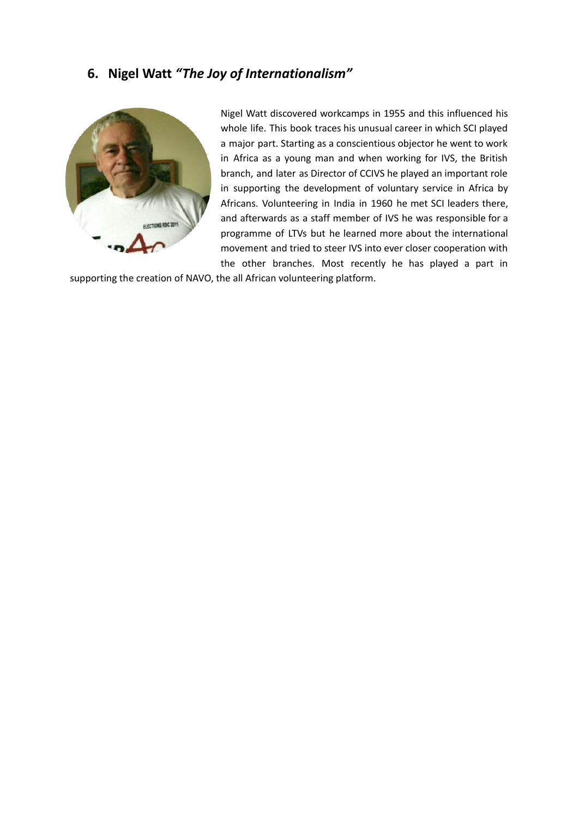#### **6. Nigel Watt** *"The Joy of Internationalism"*



Nigel Watt discovered workcamps in 1955 and this influenced his whole life. This book traces his unusual career in which SCI played a major part. Starting as a conscientious objector he went to work in Africa as a young man and when working for IVS, the British branch, and later as Director of CCIVS he played an important role in supporting the development of voluntary service in Africa by Africans. Volunteering in India in 1960 he met SCI leaders there, and afterwards as a staff member of IVS he was responsible for a programme of LTVs but he learned more about the international movement and tried to steer IVS into ever closer cooperation with the other branches. Most recently he has played a part in

supporting the creation of NAVO, the all African volunteering platform.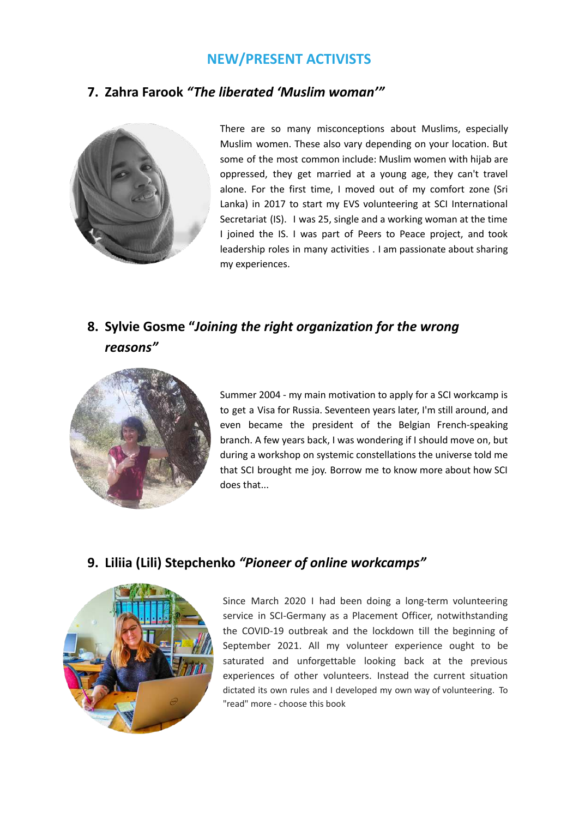#### **NEW/PRESENT ACTIVISTS**

#### **7. Zahra Farook** *"The liberated 'Muslim woman'"*



There are so many misconceptions about Muslims, especially Muslim women. These also vary depending on your location. But some of the most common include: Muslim women with hijab are oppressed, they get married at a young age, they can't travel alone. For the first time, I moved out of my comfort zone (Sri Lanka) in 2017 to start my EVS volunteering at SCI International Secretariat (IS). I was 25, single and a working woman at the time I joined the IS. I was part of Peers to Peace project, and took leadership roles in many activities . I am passionate about sharing my experiences.

### **8. Sylvie Gosme "***Joining the right organization for the wrong reasons"*



Summer 2004 - my main motivation to apply for a SCI workcamp is to get a Visa for Russia. Seventeen years later, I'm still around, and even became the president of the Belgian French-speaking branch. A few years back, I was wondering if I should move on, but during a workshop on systemic constellations the universe told me that SCI brought me joy. Borrow me to know more about how SCI does that...

#### **9. Liliia (Lili) Stepchenko** *"Pioneer of online workcamps"*



Since March 2020 I had been doing a long-term volunteering service in SCI-Germany as a Placement Officer, notwithstanding the COVID-19 outbreak and the lockdown till the beginning of September 2021. All my volunteer experience ought to be saturated and unforgettable looking back at the previous experiences of other volunteers. Instead the current situation dictated its own rules and I developed my own way of volunteering. To "read" more - choose this book